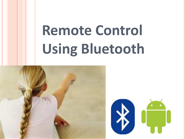# **Remote Control Using Bluetooth**



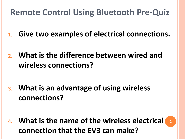#### **Remote Control Using Bluetooth Pre-Quiz**

- **1. Give two examples of electrical connections.**
- **2. What is the difference between wired and wireless connections?**

**3. What is an advantage of using wireless connections?**

**4. What is the name of the wireless electrical connection that the EV3 can make? 2**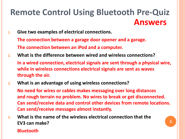#### **Remote Control Using Bluetooth Pre-Quiz Answers**

- **1. Give two examples of electrical connections. The connection between a garage door opener and a garage. The connection between an iPod and a computer.**
- **2. What is the difference between wired and wireless connections? In a wired connection, electrical signals are sent through a physical wire, while in wireless connections electrical signals are sent as waves through the air.**
- **3. What is an advantage of using wireless connections?**

**No need for wires or cables makes messaging over long distances and rough terrain no problem. No wires to break or get disconnected. Can send/receive data and control other devices from remote locations. Can send/receive messages almost instantly.**

**3. What is the name of the wireless electrical connection that the EV3 can make?** 

#### **Bluetooth**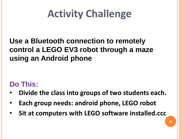## **Activity Challenge**

#### **Use a Bluetooth connection to remotely control a LEGO EV3 robot through a maze using an Android phone**

#### **Do This:**

- **Divide the class into groups of two students each.**
- **Each group needs: android phone, LEGO robot**
- **Sit at computers with LEGO software installed.ccc**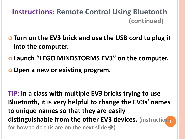#### **Instructions: Remote Control Using Bluetooth (continued)**

- **Turn on the EV3 brick and use the USB cord to plug it into the computer.**
- **Launch "LEGO MINDSTORMS EV3" on the computer.**
- **Open a new or existing program.**

**TIP: In a class with multiple EV3 bricks trying to use Bluetooth, it is very helpful to change the EV3s' names to unique names so that they are easily distinguishable from the other EV3 devices. (instructions 5 for how to do this are on the next slide)**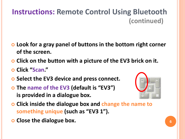- **Look for a gray panel of buttons in the bottom right corner of the screen.**
- **Click on the button with a picture of the EV3 brick on it.**
- **Click "Scan."**
- **Select the EV3 device and press connect.**
- **The name of the EV3 (default is "EV3") is provided in a dialogue box.**
- **Click inside the dialogue box and change the name to something unique (such as "EV3 1").**
- **Close the dialogue box. 66**

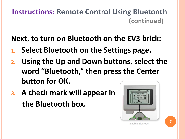**Next, to turn on Bluetooth on the EV3 brick:**

- **1. Select Bluetooth on the Settings page.**
- **2. Using the Up and Down buttons, select the word "Bluetooth," then press the Center button for OK.**
- **3. A check mark will appear in the Bluetooth box.**

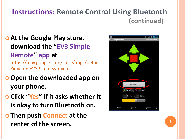- **At the Google Play store, download the "EV3 Simple Remote" app at**  [https://play.google.com/store/apps/details](https://play.google.com/store/apps/details?id=com.EV3.Simple&hl=en) ?id=com.EV3.Simple&hl=en
- **Open the downloaded app on your phone.**
- **Click "Yes" if it asks whether it is okay to turn Bluetooth on.**
- **O** Then push Connect at the **center of the screen.**  $8$

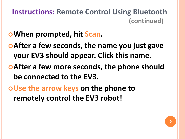- **When prompted, hit Scan.**
- **After a few seconds, the name you just gave your EV3 should appear. Click this name.**
- **After a few more seconds, the phone should be connected to the EV3.**
- **Use the arrow keys on the phone to remotely control the EV3 robot!**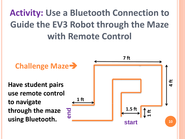## **Activity: Use a Bluetooth Connection to Guide the EV3 Robot through the Maze with Remote Control**

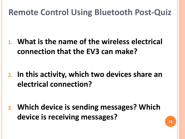#### **Remote Control Using Bluetooth Post-Quiz**

**1. What is the name of the wireless electrical connection that the EV3 can make?** 

**2. In this activity, which two devices share an electrical connection?** 

**3. Which device is sending messages? Which device is receiving messages?**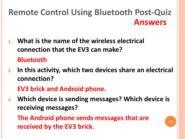#### **Remote Control Using Bluetooth Post-Quiz Answers**

- **1. What is the name of the wireless electrical connection that the EV3 can make? Bluetooth**
- **2. In this activity, which two devices share an electrical connection?**

**EV3 brick and Android phone.**

**3. Which device is sending messages? Which device is receiving messages?**

**The Android phone sends messages that are received by the EV3 brick.**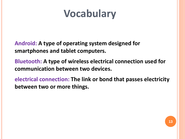## **Vocabulary**

**Android: A type of operating system designed for smartphones and tablet computers.** 

**Bluetooth: A type of wireless electrical connection used for communication between two devices.**

**electrical connection: The link or bond that passes electricity between two or more things.**